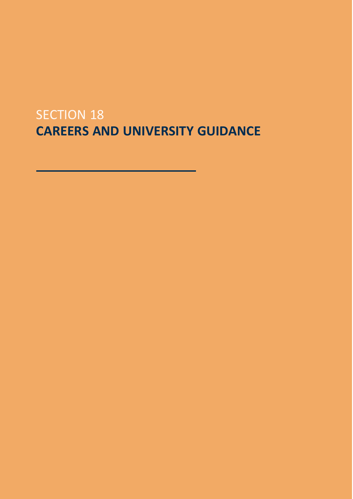## SECTION 18 **CAREERS AND UNIVERSITY GUIDANCE**